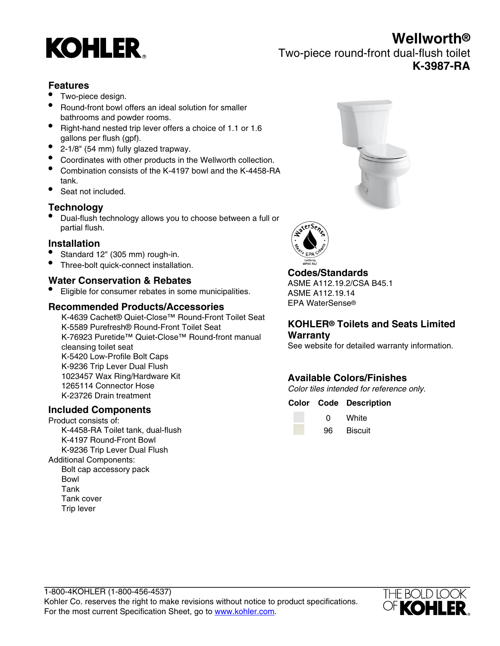# **KOHLER**

**Wellworth®** Two-piece round-front dual-flush toilet **K-3987-RA**

# **Features**

- Two-piece design.
- Round-front bowl offers an ideal solution for smaller bathrooms and powder rooms.
- Right-hand nested trip lever offers a choice of 1.1 or 1.6 gallons per flush (gpf).
- 2-1/8" (54 mm) fully glazed trapway.
- Coordinates with other products in the Wellworth collection.
- Combination consists of the K-4197 bowl and the K-4458-RA tank.
- Seat not included.

# **Technology**

• Dual-flush technology allows you to choose between a full or partial flush.

### **Installation**

- Standard 12" (305 mm) rough-in.
- Three-bolt quick-connect installation.

# **Water Conservation & Rebates**

• Eligible for consumer rebates in some municipalities.

### **Recommended Products/Accessories**

K-4639 Cachet® Quiet-Close™ Round-Front Toilet Seat K-5589 Purefresh® Round-Front Toilet Seat K-76923 Puretide™ Quiet-Close™ Round-front manual cleansing toilet seat K-5420 Low-Profile Bolt Caps K-9236 Trip Lever Dual Flush 1023457 Wax Ring/Hardware Kit 1265114 Connector Hose K-23726 Drain treatment

# **Included Components**

Product consists of: K-4458-RA Toilet tank, dual-flush K-4197 Round-Front Bowl K-9236 Trip Lever Dual Flush Additional Components: Bolt cap accessory pack Bowl Tank Tank cover Trip lever





# **Codes/Standards**

ASME A112.19.2/CSA B45.1 ASME A112.19.14 EPA WaterSense®

#### **KOHLER® Toilets and Seats Limited Warranty**

See website for detailed warranty information.

# **Available Colors/Finishes**

Color tiles intended for reference only.

#### **Color Code Description**

| O  | White          |
|----|----------------|
| 96 | <b>Biscuit</b> |